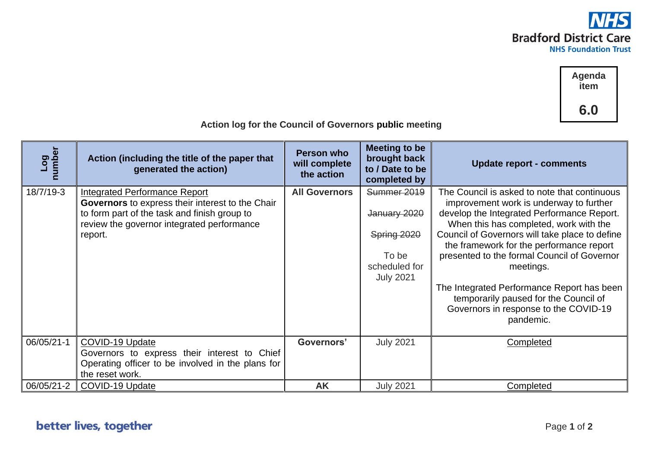

**Agenda item 6.0**

| Log<br>number | Action (including the title of the paper that<br>generated the action)                                                                  | <b>Person who</b><br>will complete<br>the action | Meeting to be<br>brought back<br>to / Date to be<br>completed by | <b>Update report - comments</b>                                                                                                           |  |  |
|---------------|-----------------------------------------------------------------------------------------------------------------------------------------|--------------------------------------------------|------------------------------------------------------------------|-------------------------------------------------------------------------------------------------------------------------------------------|--|--|
| 18/7/19-3     | <b>Integrated Performance Report</b><br>Governors to express their interest to the Chair                                                | <b>All Governors</b>                             | Summer 2019                                                      | The Council is asked to note that continuous<br>improvement work is underway to further                                                   |  |  |
|               | to form part of the task and finish group to<br>review the governor integrated performance                                              |                                                  | January 2020                                                     | develop the Integrated Performance Report.<br>When this has completed, work with the                                                      |  |  |
|               | report.                                                                                                                                 |                                                  | Spring 2020                                                      | Council of Governors will take place to define<br>the framework for the performance report                                                |  |  |
|               |                                                                                                                                         |                                                  | To be                                                            | presented to the formal Council of Governor                                                                                               |  |  |
|               |                                                                                                                                         |                                                  | scheduled for<br><b>July 2021</b>                                | meetings.                                                                                                                                 |  |  |
|               |                                                                                                                                         |                                                  |                                                                  | The Integrated Performance Report has been<br>temporarily paused for the Council of<br>Governors in response to the COVID-19<br>pandemic. |  |  |
| 06/05/21-1    | COVID-19 Update<br>Governors to express their interest to Chief<br>Operating officer to be involved in the plans for<br>the reset work. | Governors'                                       | <b>July 2021</b>                                                 | Completed                                                                                                                                 |  |  |
| 06/05/21-2    | COVID-19 Update                                                                                                                         | <b>AK</b>                                        | <b>July 2021</b>                                                 | Completed                                                                                                                                 |  |  |

 **Action log for the Council of Governors public meeting**

## better lives, together